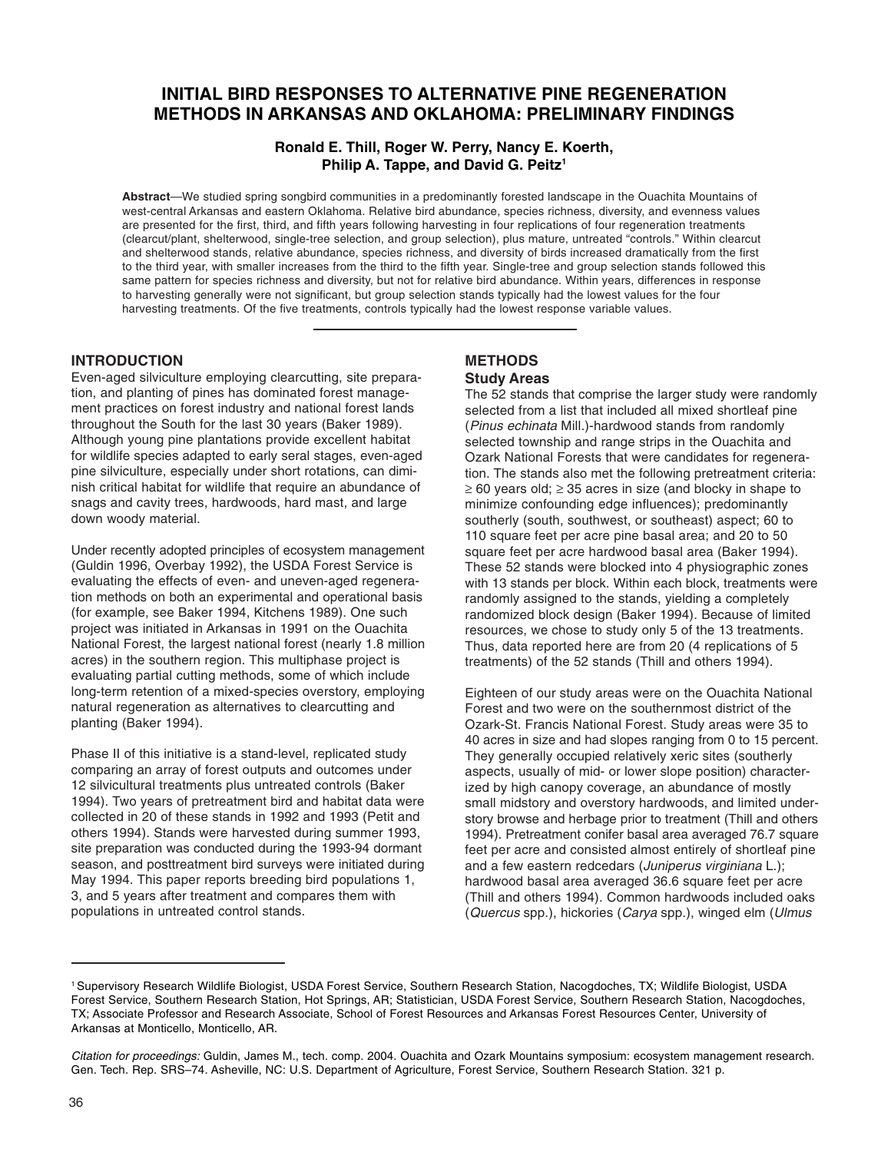# **INITIAL BIRD RESPONSES TO ALTERNATIVE PINE REGENERATION METHODS IN ARKANSAS AND OKLAHOMA: PRELIMINARY FINDINGS**

# **Ronald E. Thill, Roger W. Perry, Nancy E. Koerth, Philip A. Tappe, and David G. Peitz1**

**Abstract**—We studied spring songbird communities in a predominantly forested landscape in the Ouachita Mountains of west-central Arkansas and eastern Oklahoma. Relative bird abundance, species richness, diversity, and evenness values are presented for the first, third, and fifth years following harvesting in four replications of four regeneration treatments (clearcut/plant, shelterwood, single-tree selection, and group selection), plus mature, untreated "controls." Within clearcut and shelterwood stands, relative abundance, species richness, and diversity of birds increased dramatically from the first to the third year, with smaller increases from the third to the fifth year. Single-tree and group selection stands followed this same pattern for species richness and diversity, but not for relative bird abundance. Within years, differences in response to harvesting generally were not significant, but group selection stands typically had the lowest values for the four harvesting treatments. Of the five treatments, controls typically had the lowest response variable values.

# **INTRODUCTION**

Even-aged silviculture employing clearcutting, site preparation, and planting of pines has dominated forest management practices on forest industry and national forest lands throughout the South for the last 30 years (Baker 1989). Although young pine plantations provide excellent habitat for wildlife species adapted to early seral stages, even-aged pine silviculture, especially under short rotations, can diminish critical habitat for wildlife that require an abundance of snags and cavity trees, hardwoods, hard mast, and large down woody material.

Under recently adopted principles of ecosystem management (Guldin 1996, Overbay 1992), the USDA Forest Service is evaluating the effects of even- and uneven-aged regeneration methods on both an experimental and operational basis (for example, see Baker 1994, Kitchens 1989). One such project was initiated in Arkansas in 1991 on the Ouachita National Forest, the largest national forest (nearly 1.8 million acres) in the southern region. This multiphase project is evaluating partial cutting methods, some of which include long-term retention of a mixed-species overstory, employing natural regeneration as alternatives to clearcutting and planting (Baker 1994).

Phase II of this initiative is a stand-level, replicated study comparing an array of forest outputs and outcomes under 12 silvicultural treatments plus untreated controls (Baker 1994). Two years of pretreatment bird and habitat data were collected in 20 of these stands in 1992 and 1993 (Petit and others 1994). Stands were harvested during summer 1993, site preparation was conducted during the 1993-94 dormant season, and posttreatment bird surveys were initiated during May 1994. This paper reports breeding bird populations 1, 3, and 5 years after treatment and compares them with populations in untreated control stands.

### **METHODS Study Areas**

The 52 stands that comprise the larger study were randomly selected from a list that included all mixed shortleaf pine (Pinus echinata Mill.)-hardwood stands from randomly selected township and range strips in the Ouachita and Ozark National Forests that were candidates for regeneration. The stands also met the following pretreatment criteria: ≥ 60 years old; ≥ 35 acres in size (and blocky in shape to minimize confounding edge influences); predominantly southerly (south, southwest, or southeast) aspect; 60 to 110 square feet per acre pine basal area; and 20 to 50 square feet per acre hardwood basal area (Baker 1994). These 52 stands were blocked into 4 physiographic zones with 13 stands per block. Within each block, treatments were randomly assigned to the stands, yielding a completely randomized block design (Baker 1994). Because of limited resources, we chose to study only 5 of the 13 treatments. Thus, data reported here are from 20 (4 replications of 5 treatments) of the 52 stands (Thill and others 1994).

Eighteen of our study areas were on the Ouachita National Forest and two were on the southernmost district of the Ozark-St. Francis National Forest. Study areas were 35 to 40 acres in size and had slopes ranging from 0 to 15 percent. They generally occupied relatively xeric sites (southerly aspects, usually of mid- or lower slope position) characterized by high canopy coverage, an abundance of mostly small midstory and overstory hardwoods, and limited understory browse and herbage prior to treatment (Thill and others 1994). Pretreatment conifer basal area averaged 76.7 square feet per acre and consisted almost entirely of shortleaf pine and a few eastern redcedars (Juniperus virginiana L.); hardwood basal area averaged 36.6 square feet per acre (Thill and others 1994). Common hardwoods included oaks (Quercus spp.), hickories (Carya spp.), winged elm (Ulmus

<sup>1</sup> Supervisory Research Wildlife Biologist, USDA Forest Service, Southern Research Station, Nacogdoches, TX; Wildlife Biologist, USDA Forest Service, Southern Research Station, Hot Springs, AR; Statistician, USDA Forest Service, Southern Research Station, Nacogdoches, TX; Associate Professor and Research Associate, School of Forest Resources and Arkansas Forest Resources Center, University of Arkansas at Monticello, Monticello, AR.

Citation for proceedings: Guldin, James M., tech. comp. 2004. Ouachita and Ozark Mountains symposium: ecosystem management research. Gen. Tech. Rep. SRS–74. Asheville, NC: U.S. Department of Agriculture, Forest Service, Southern Research Station. 321 p.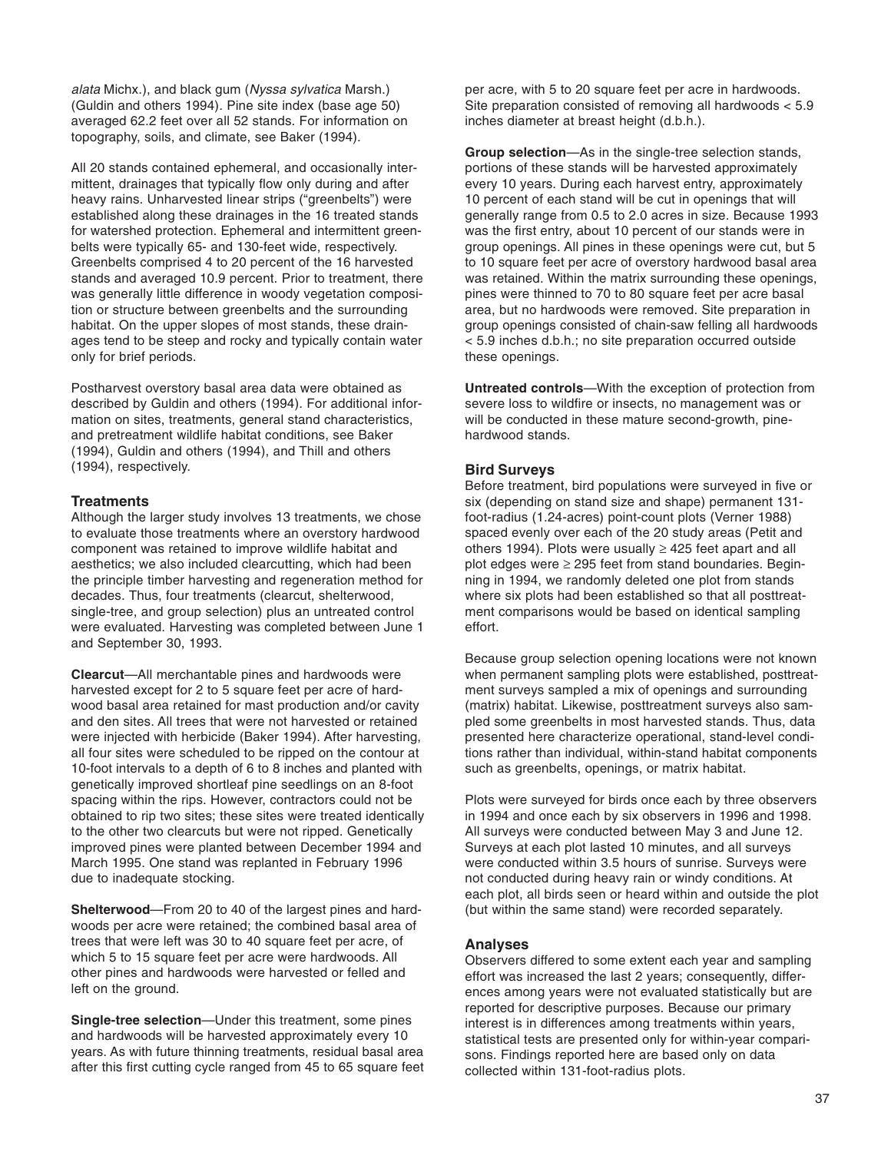alata Michx.), and black gum (Nyssa sylvatica Marsh.) (Guldin and others 1994). Pine site index (base age 50) averaged 62.2 feet over all 52 stands. For information on topography, soils, and climate, see Baker (1994).

All 20 stands contained ephemeral, and occasionally intermittent, drainages that typically flow only during and after heavy rains. Unharvested linear strips ("greenbelts") were established along these drainages in the 16 treated stands for watershed protection. Ephemeral and intermittent greenbelts were typically 65- and 130-feet wide, respectively. Greenbelts comprised 4 to 20 percent of the 16 harvested stands and averaged 10.9 percent. Prior to treatment, there was generally little difference in woody vegetation composition or structure between greenbelts and the surrounding habitat. On the upper slopes of most stands, these drainages tend to be steep and rocky and typically contain water only for brief periods.

Postharvest overstory basal area data were obtained as described by Guldin and others (1994). For additional information on sites, treatments, general stand characteristics, and pretreatment wildlife habitat conditions, see Baker (1994), Guldin and others (1994), and Thill and others (1994), respectively.

### **Treatments**

Although the larger study involves 13 treatments, we chose to evaluate those treatments where an overstory hardwood component was retained to improve wildlife habitat and aesthetics; we also included clearcutting, which had been the principle timber harvesting and regeneration method for decades. Thus, four treatments (clearcut, shelterwood, single-tree, and group selection) plus an untreated control were evaluated. Harvesting was completed between June 1 and September 30, 1993.

**Clearcut**—All merchantable pines and hardwoods were harvested except for 2 to 5 square feet per acre of hardwood basal area retained for mast production and/or cavity and den sites. All trees that were not harvested or retained were injected with herbicide (Baker 1994). After harvesting, all four sites were scheduled to be ripped on the contour at 10-foot intervals to a depth of 6 to 8 inches and planted with genetically improved shortleaf pine seedlings on an 8-foot spacing within the rips. However, contractors could not be obtained to rip two sites; these sites were treated identically to the other two clearcuts but were not ripped. Genetically improved pines were planted between December 1994 and March 1995. One stand was replanted in February 1996 due to inadequate stocking.

**Shelterwood**—From 20 to 40 of the largest pines and hardwoods per acre were retained; the combined basal area of trees that were left was 30 to 40 square feet per acre, of which 5 to 15 square feet per acre were hardwoods. All other pines and hardwoods were harvested or felled and left on the ground.

**Single-tree selection**—Under this treatment, some pines and hardwoods will be harvested approximately every 10 years. As with future thinning treatments, residual basal area after this first cutting cycle ranged from 45 to 65 square feet per acre, with 5 to 20 square feet per acre in hardwoods. Site preparation consisted of removing all hardwoods < 5.9 inches diameter at breast height (d.b.h.).

**Group selection**—As in the single-tree selection stands, portions of these stands will be harvested approximately every 10 years. During each harvest entry, approximately 10 percent of each stand will be cut in openings that will generally range from 0.5 to 2.0 acres in size. Because 1993 was the first entry, about 10 percent of our stands were in group openings. All pines in these openings were cut, but 5 to 10 square feet per acre of overstory hardwood basal area was retained. Within the matrix surrounding these openings, pines were thinned to 70 to 80 square feet per acre basal area, but no hardwoods were removed. Site preparation in group openings consisted of chain-saw felling all hardwoods < 5.9 inches d.b.h.; no site preparation occurred outside these openings.

**Untreated controls**—With the exception of protection from severe loss to wildfire or insects, no management was or will be conducted in these mature second-growth, pinehardwood stands.

### **Bird Surveys**

Before treatment, bird populations were surveyed in five or six (depending on stand size and shape) permanent 131 foot-radius (1.24-acres) point-count plots (Verner 1988) spaced evenly over each of the 20 study areas (Petit and others 1994). Plots were usually  $\geq$  425 feet apart and all plot edges were  $\geq$  295 feet from stand boundaries. Beginning in 1994, we randomly deleted one plot from stands where six plots had been established so that all posttreatment comparisons would be based on identical sampling effort.

Because group selection opening locations were not known when permanent sampling plots were established, posttreatment surveys sampled a mix of openings and surrounding (matrix) habitat. Likewise, posttreatment surveys also sampled some greenbelts in most harvested stands. Thus, data presented here characterize operational, stand-level conditions rather than individual, within-stand habitat components such as greenbelts, openings, or matrix habitat.

Plots were surveyed for birds once each by three observers in 1994 and once each by six observers in 1996 and 1998. All surveys were conducted between May 3 and June 12. Surveys at each plot lasted 10 minutes, and all surveys were conducted within 3.5 hours of sunrise. Surveys were not conducted during heavy rain or windy conditions. At each plot, all birds seen or heard within and outside the plot (but within the same stand) were recorded separately.

### **Analyses**

Observers differed to some extent each year and sampling effort was increased the last 2 years; consequently, differences among years were not evaluated statistically but are reported for descriptive purposes. Because our primary interest is in differences among treatments within years, statistical tests are presented only for within-year comparisons. Findings reported here are based only on data collected within 131-foot-radius plots.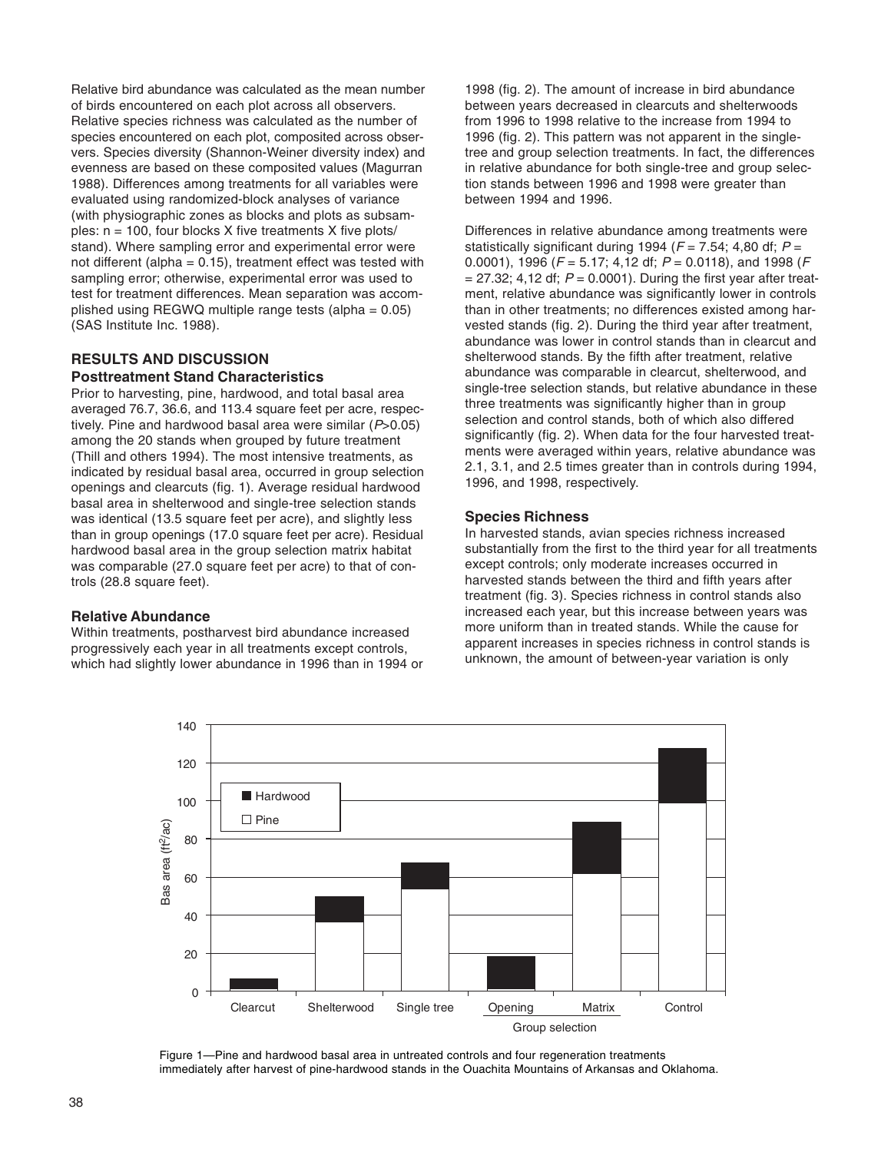Relative bird abundance was calculated as the mean number of birds encountered on each plot across all observers. Relative species richness was calculated as the number of species encountered on each plot, composited across observers. Species diversity (Shannon-Weiner diversity index) and evenness are based on these composited values (Magurran 1988). Differences among treatments for all variables were evaluated using randomized-block analyses of variance (with physiographic zones as blocks and plots as subsamples:  $n = 100$ , four blocks X five treatments X five plots/ stand). Where sampling error and experimental error were not different (alpha =  $0.15$ ), treatment effect was tested with sampling error; otherwise, experimental error was used to test for treatment differences. Mean separation was accomplished using REGWQ multiple range tests (alpha  $= 0.05$ ) (SAS Institute Inc. 1988).

### **RESULTS AND DISCUSSION Posttreatment Stand Characteristics**

Prior to harvesting, pine, hardwood, and total basal area averaged 76.7, 36.6, and 113.4 square feet per acre, respectively. Pine and hardwood basal area were similar  $(P>0.05)$ among the 20 stands when grouped by future treatment (Thill and others 1994). The most intensive treatments, as indicated by residual basal area, occurred in group selection openings and clearcuts (fig. 1). Average residual hardwood basal area in shelterwood and single-tree selection stands was identical (13.5 square feet per acre), and slightly less than in group openings (17.0 square feet per acre). Residual hardwood basal area in the group selection matrix habitat was comparable (27.0 square feet per acre) to that of controls (28.8 square feet).

### **Relative Abundance**

Within treatments, postharvest bird abundance increased progressively each year in all treatments except controls, which had slightly lower abundance in 1996 than in 1994 or

1998 (fig. 2). The amount of increase in bird abundance between years decreased in clearcuts and shelterwoods from 1996 to 1998 relative to the increase from 1994 to 1996 (fig. 2). This pattern was not apparent in the singletree and group selection treatments. In fact, the differences in relative abundance for both single-tree and group selection stands between 1996 and 1998 were greater than between 1994 and 1996.

Differences in relative abundance among treatments were statistically significant during 1994 ( $F = 7.54$ ; 4,80 df;  $P =$ 0.0001), 1996 ( $F = 5.17$ ; 4,12 df;  $P = 0.0118$ ), and 1998 ( $F = 0.0118$ )  $= 27.32$ ; 4,12 df;  $P = 0.0001$ ). During the first year after treatment, relative abundance was significantly lower in controls than in other treatments; no differences existed among harvested stands (fig. 2). During the third year after treatment, abundance was lower in control stands than in clearcut and shelterwood stands. By the fifth after treatment, relative abundance was comparable in clearcut, shelterwood, and single-tree selection stands, but relative abundance in these three treatments was significantly higher than in group selection and control stands, both of which also differed significantly (fig. 2). When data for the four harvested treatments were averaged within years, relative abundance was 2.1, 3.1, and 2.5 times greater than in controls during 1994, 1996, and 1998, respectively.

# **Species Richness**

In harvested stands, avian species richness increased substantially from the first to the third year for all treatments except controls; only moderate increases occurred in harvested stands between the third and fifth years after treatment (fig. 3). Species richness in control stands also increased each year, but this increase between years was more uniform than in treated stands. While the cause for apparent increases in species richness in control stands is unknown, the amount of between-year variation is only



Figure 1—Pine and hardwood basal area in untreated controls and four regeneration treatments immediately after harvest of pine-hardwood stands in the Ouachita Mountains of Arkansas and Oklahoma.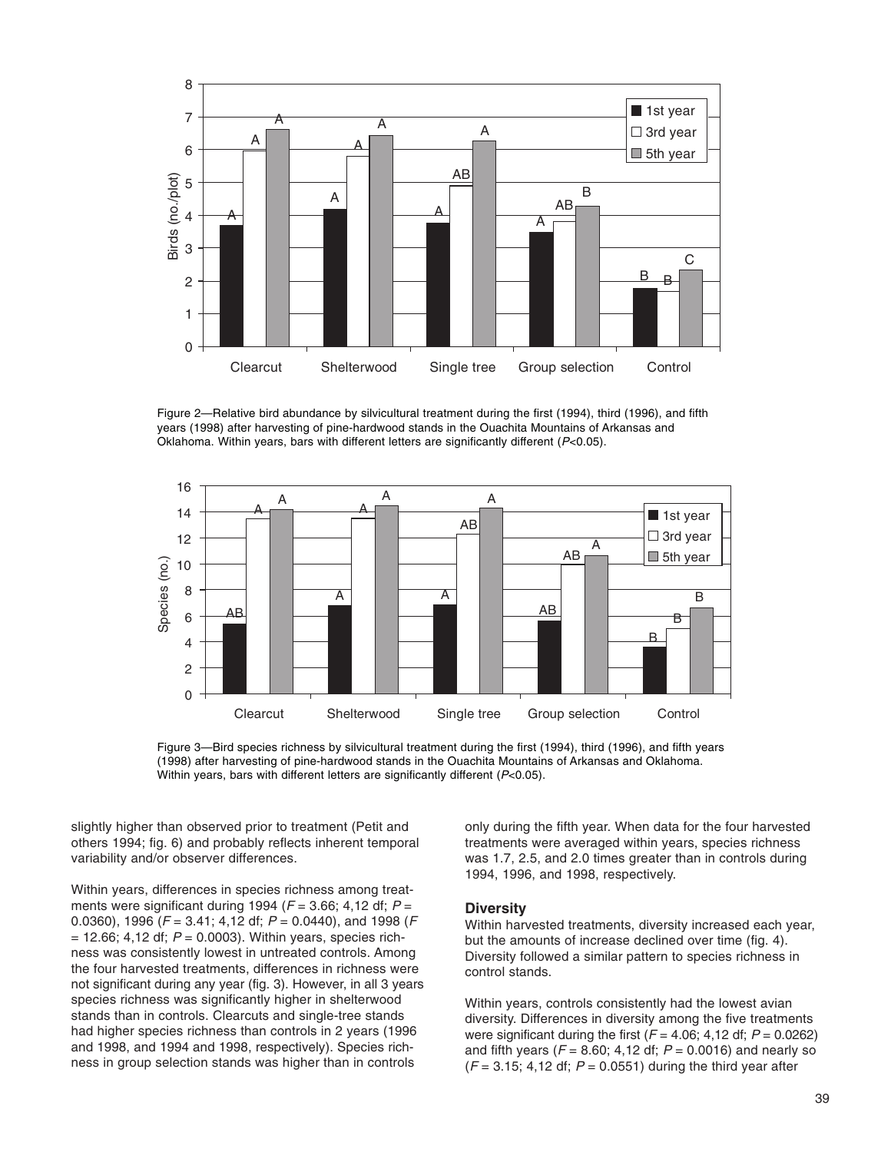

Figure 2—Relative bird abundance by silvicultural treatment during the first (1994), third (1996), and fifth years (1998) after harvesting of pine-hardwood stands in the Ouachita Mountains of Arkansas and Oklahoma. Within years, bars with different letters are significantly different (P<0.05).



Figure 3—Bird species richness by silvicultural treatment during the first (1994), third (1996), and fifth years (1998) after harvesting of pine-hardwood stands in the Ouachita Mountains of Arkansas and Oklahoma. Within years, bars with different letters are significantly different  $(P<0.05)$ .

slightly higher than observed prior to treatment (Petit and others 1994; fig. 6) and probably reflects inherent temporal variability and/or observer differences.

Within years, differences in species richness among treatments were significant during 1994 ( $F = 3.66$ ; 4,12 df;  $P =$ 0.0360), 1996 ( $F = 3.41$ ; 4,12 df;  $P = 0.0440$ ), and 1998 ( $F = 0.0360$ )  $= 12.66$ ; 4,12 df;  $P = 0.0003$ ). Within years, species richness was consistently lowest in untreated controls. Among the four harvested treatments, differences in richness were not significant during any year (fig. 3). However, in all 3 years species richness was significantly higher in shelterwood stands than in controls. Clearcuts and single-tree stands had higher species richness than controls in 2 years (1996 and 1998, and 1994 and 1998, respectively). Species richness in group selection stands was higher than in controls

only during the fifth year. When data for the four harvested treatments were averaged within years, species richness was 1.7, 2.5, and 2.0 times greater than in controls during 1994, 1996, and 1998, respectively.

#### **Diversity**

Within harvested treatments, diversity increased each year, but the amounts of increase declined over time (fig. 4). Diversity followed a similar pattern to species richness in control stands.

Within years, controls consistently had the lowest avian diversity. Differences in diversity among the five treatments were significant during the first  $(F = 4.06; 4.12$  df;  $P = 0.0262$ ) and fifth years ( $F = 8.60$ ; 4,12 df;  $P = 0.0016$ ) and nearly so  $(F = 3.15; 4.12 \text{ df}; P = 0.0551)$  during the third year after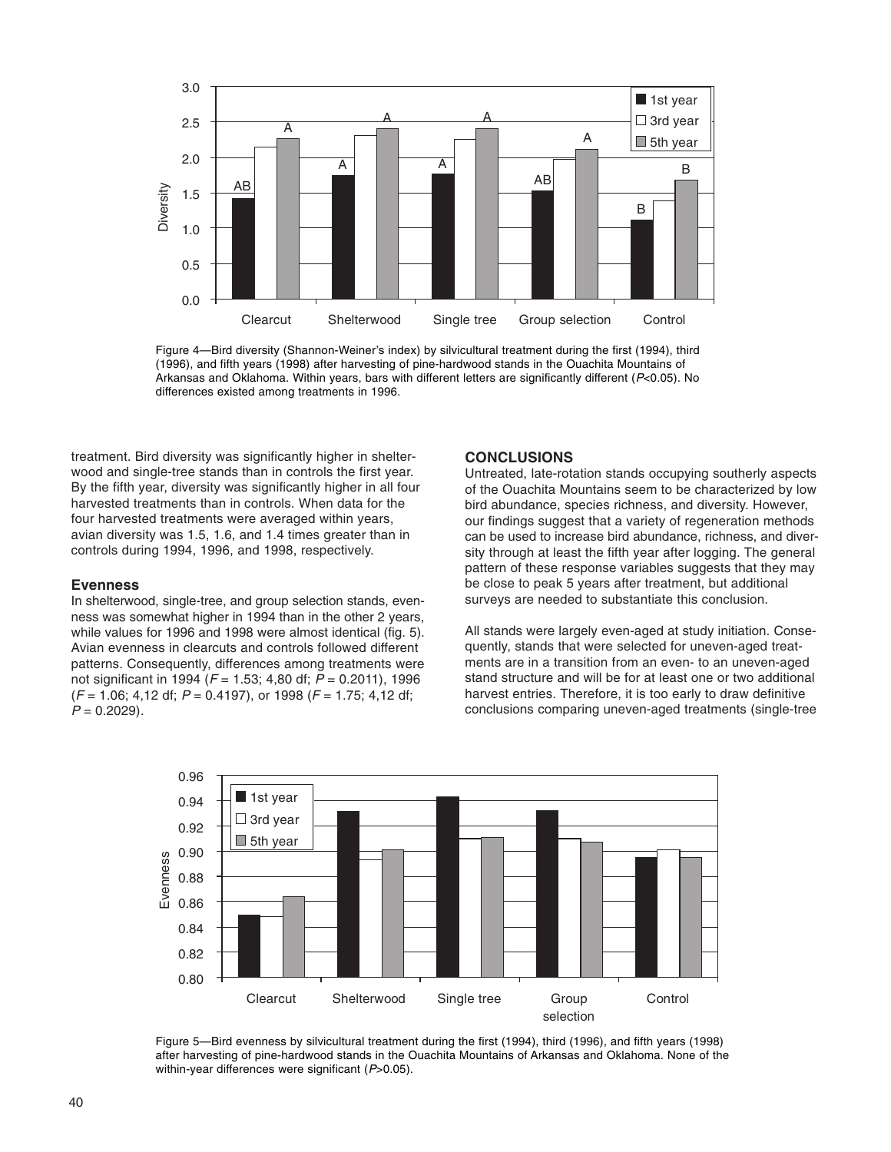

Figure 4—Bird diversity (Shannon-Weiner's index) by silvicultural treatment during the first (1994), third (1996), and fifth years (1998) after harvesting of pine-hardwood stands in the Ouachita Mountains of Arkansas and Oklahoma. Within years, bars with different letters are significantly different (P<0.05). No differences existed among treatments in 1996.

treatment. Bird diversity was significantly higher in shelterwood and single-tree stands than in controls the first year. By the fifth year, diversity was significantly higher in all four harvested treatments than in controls. When data for the four harvested treatments were averaged within years, avian diversity was 1.5, 1.6, and 1.4 times greater than in controls during 1994, 1996, and 1998, respectively.

#### **Evenness**

In shelterwood, single-tree, and group selection stands, evenness was somewhat higher in 1994 than in the other 2 years, while values for 1996 and 1998 were almost identical (fig. 5). Avian evenness in clearcuts and controls followed different patterns. Consequently, differences among treatments were not significant in 1994 ( $F = 1.53$ ; 4,80 df;  $P = 0.2011$ ), 1996  $(F = 1.06; 4.12$  df;  $P = 0.4197$ ), or 1998 ( $F = 1.75; 4.12$  df;  $P = 0.2029$ ).

#### **CONCLUSIONS**

Untreated, late-rotation stands occupying southerly aspects of the Ouachita Mountains seem to be characterized by low bird abundance, species richness, and diversity. However, our findings suggest that a variety of regeneration methods can be used to increase bird abundance, richness, and diversity through at least the fifth year after logging. The general pattern of these response variables suggests that they may be close to peak 5 years after treatment, but additional surveys are needed to substantiate this conclusion.

All stands were largely even-aged at study initiation. Consequently, stands that were selected for uneven-aged treatments are in a transition from an even- to an uneven-aged stand structure and will be for at least one or two additional harvest entries. Therefore, it is too early to draw definitive conclusions comparing uneven-aged treatments (single-tree



Figure 5—Bird evenness by silvicultural treatment during the first (1994), third (1996), and fifth years (1998) after harvesting of pine-hardwood stands in the Ouachita Mountains of Arkansas and Oklahoma. None of the within-year differences were significant (P>0.05).